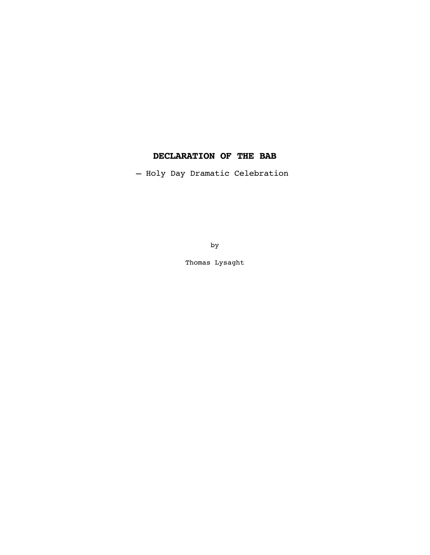# **DECLARATION OF THE BAB**

— Holy Day Dramatic Celebration

by

Thomas Lysaght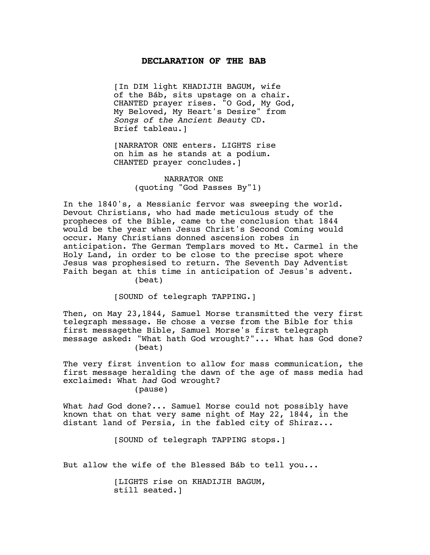#### **DECLARATION OF THE BAB**

[In DIM light KHADIJIH BAGUM, wife of the Báb, sits upstage on a chair. CHANTED prayer rises. "O God, My God, My Beloved, My Heart's Desire" from *Songs of the Ancient Beaut*y CD. Brief tableau.]

[NARRATOR ONE enters. LIGHTS rise on him as he stands at a podium. CHANTED prayer concludes.]

> NARRATOR ONE (quoting "God Passes By"1)

In the 1840's, a Messianic fervor was sweeping the world. Devout Christians, who had made meticulous study of the propheces of the Bible, came to the conclusion that 1844 would be the year when Jesus Christ's Second Coming would occur. Many Christians donned ascension robes in anticipation. The German Templars moved to Mt. Carmel in the Holy Land, in order to be close to the precise spot where Jesus was prophesised to return. The Seventh Day Adventist Faith began at this time in anticipation of Jesus's advent. (beat)

[SOUND of telegraph TAPPING.]

Then, on May 23,1844, Samuel Morse transmitted the very first telegraph message. He chose a verse from the Bible for this first messagethe Bible, Samuel Morse's first telegraph message asked: "What hath God wrought?"... What has God done? (beat)

The very first invention to allow for mass communication, the first message heralding the dawn of the age of mass media had exclaimed: What *had* God wrought? (pause)

What *had* God done?... Samuel Morse could not possibly have known that on that very same night of May 22, 1844, in the distant land of Persia, in the fabled city of Shiraz...

[SOUND of telegraph TAPPING stops.]

But allow the wife of the Blessed Báb to tell you...

[LIGHTS rise on KHADIJIH BAGUM, still seated.]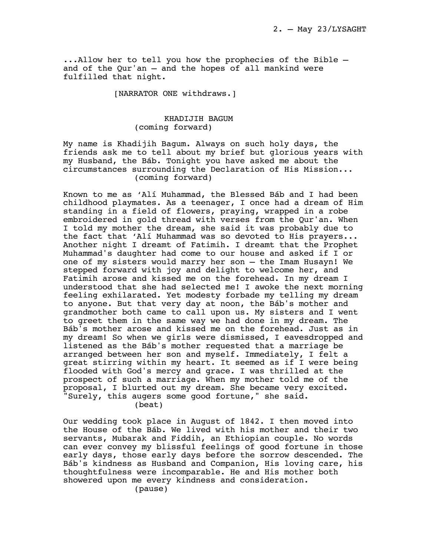...Allow her to tell you how the prophecies of the Bible and of the Qur'an — and the hopes of all mankind were fulfilled that night.

[NARRATOR ONE withdraws.]

# KHADIJIH BAGUM (coming forward)

My name is Khadijih Bagum. Always on such holy days, the friends ask me to tell about my brief but glorious years with my Husband, the Báb. Tonight you have asked me about the circumstances surrounding the Declaration of His Mission... (coming forward)

Known to me as 'Alí Muhammad, the Blessed Báb and I had been childhood playmates. As a teenager, I once had a dream of Him standing in a field of flowers, praying, wrapped in a robe embroidered in gold thread with verses from the Qur'an. When I told my mother the dream, she said it was probably due to the fact that 'Alí Muhammad was so devoted to His prayers... Another night I dreamt of Fatimih. I dreamt that the Prophet Muhammad's daughter had come to our house and asked if I or one of my sisters would marry her son — the Imam Husayn! We stepped forward with joy and delight to welcome her, and Fatimih arose and kissed me on the forehead. In my dream I understood that she had selected me! I awoke the next morning feeling exhilarated. Yet modesty forbade my telling my dream to anyone. But that very day at noon, the Báb's mother and grandmother both came to call upon us. My sisters and I went to greet them in the same way we had done in my dream. The Báb's mother arose and kissed me on the forehead. Just as in my dream! So when we girls were dismissed, I eavesdropped and listened as the Báb's mother requested that a marriage be arranged between her son and myself. Immediately, I felt a great stirring within my heart. It seemed as if I were being flooded with God's mercy and grace. I was thrilled at the prospect of such a marriage. When my mother told me of the proposal, I blurted out my dream. She became very excited. "Surely, this augers some good fortune," she said. (beat)

Our wedding took place in August of 1842. I then moved into the House of the Báb. We lived with his mother and their two servants, Mubarak and Fiddih, an Ethiopian couple. No words can ever convey my blissful feelings of good fortune in those early days, those early days before the sorrow descended. The Báb's kindness as Husband and Companion, His loving care, his thoughtfulness were incomparable. He and His mother both showered upon me every kindness and consideration.

(pause)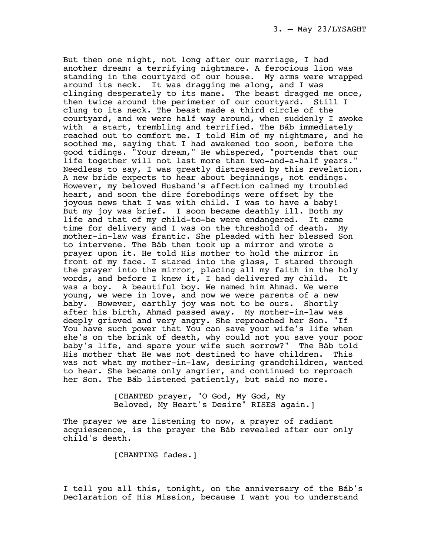But then one night, not long after our marriage, I had another dream: a terrifying nightmare. A ferocious lion was standing in the courtyard of our house. My arms were wrapped around its neck. It was dragging me along, and I was clinging desperately to its mane. The beast dragged me once, then twice around the perimeter of our courtyard. Still I clung to its neck. The beast made a third circle of the courtyard, and we were half way around, when suddenly I awoke with a start, trembling and terrified. The Báb immediately reached out to comfort me. I told Him of my nightmare, and he soothed me, saying that I had awakened too soon, before the good tidings. "Your dream," He whispered, "portends that our life together will not last more than two-and-a-half years." Needless to say, I was greatly distressed by this revelation. A new bride expects to hear about beginnings, not endings. However, my beloved Husband's affection calmed my troubled heart, and soon the dire forebodings were offset by the joyous news that I was with child. I was to have a baby! But my joy was brief. I soon became deathly ill. Both my life and that of my child-to-be were endangered. It came time for delivery and I was on the threshold of death. My mother-in-law was frantic. She pleaded with her blessed Son to intervene. The Báb then took up a mirror and wrote a prayer upon it. He told His mother to hold the mirror in front of my face. I stared into the glass, I stared through the prayer into the mirror, placing all my faith in the holy words, and before I knew it, I had delivered my child. It was a boy. A beautiful boy. We named him Ahmad. We were young, we were in love, and now we were parents of a new baby. However, earthly joy was not to be ours. Shortly after his birth, Ahmad passed away. My mother-in-law was deeply grieved and very angry. She reproached her Son. "If You have such power that You can save your wife's life when she's on the brink of death, why could not you save your poor baby's life, and spare your wife such sorrow?" The Báb told His mother that He was not destined to have children. This was not what my mother-in-law, desiring grandchildren, wanted to hear. She became only angrier, and continued to reproach her Son. The Báb listened patiently, but said no more.

> [CHANTED prayer, "O God, My God, My Beloved, My Heart's Desire" RISES again.]

The prayer we are listening to now, a prayer of radiant acquiescence, is the prayer the Báb revealed after our only child's death.

[CHANTING fades.]

I tell you all this, tonight, on the anniversary of the Báb's Declaration of His Mission, because I want you to understand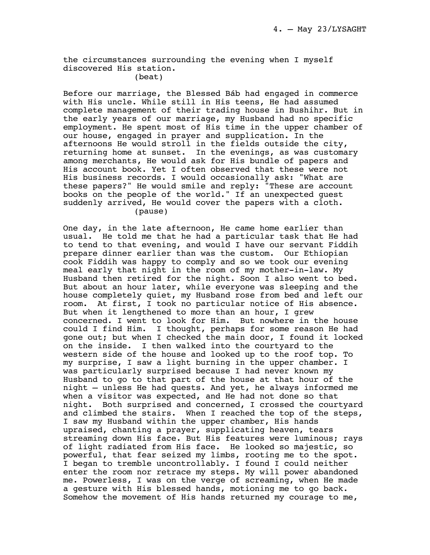the circumstances surrounding the evening when I myself discovered His station.

# (beat)

Before our marriage, the Blessed Báb had engaged in commerce with His uncle. While still in His teens, He had assumed complete management of their trading house in Bushihr. But in the early years of our marriage, my Husband had no specific employment. He spent most of His time in the upper chamber of our house, engaged in prayer and supplication. In the afternoons He would stroll in the fields outside the city, returning home at sunset. In the evenings, as was customary among merchants, He would ask for His bundle of papers and His account book. Yet I often observed that these were not His business records. I would occasionally ask: "What are these papers?" He would smile and reply: "These are account books on the people of the world." If an unexpected guest suddenly arrived, He would cover the papers with a cloth. (pause)

One day, in the late afternoon, He came home earlier than usual. He told me that he had a particular task that He had to tend to that evening, and would I have our servant Fiddih prepare dinner earlier than was the custom. Our Ethiopian cook Fiddih was happy to comply and so we took our evening meal early that night in the room of my mother-in-law. My Husband then retired for the night. Soon I also went to bed. But about an hour later, while everyone was sleeping and the house completely quiet, my Husband rose from bed and left our room. At first, I took no particular notice of His absence. But when it lengthened to more than an hour, I grew concerned. I went to look for Him. But nowhere in the house could I find Him. I thought, perhaps for some reason He had gone out; but when I checked the main door, I found it locked on the inside. I then walked into the courtyard to the western side of the house and looked up to the roof top. To my surprise, I saw a light burning in the upper chamber. I was particularly surprised because I had never known my Husband to go to that part of the house at that hour of the night — unless He had quests. And yet, he always informed me when a visitor was expected, and He had not done so that night. Both surprised and concerned, I crossed the courtyard and climbed the stairs. When I reached the top of the steps, I saw my Husband within the upper chamber, His hands upraised, chanting a prayer, supplicating heaven, tears streaming down His face. But His features were luminous; rays of light radiated from His face. He looked so majestic, so powerful, that fear seized my limbs, rooting me to the spot. I began to tremble uncontrollably. I found I could neither enter the room nor retrace my steps. My will power abandoned me. Powerless, I was on the verge of screaming, when He made a gesture with His blessed hands, motioning me to go back. Somehow the movement of His hands returned my courage to me,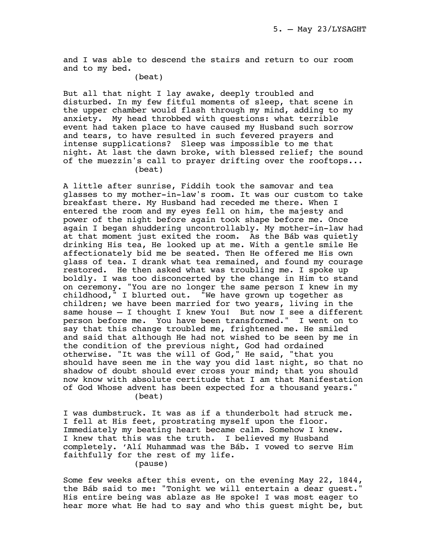and I was able to descend the stairs and return to our room and to my bed.

(beat)

But all that night I lay awake, deeply troubled and disturbed. In my few fitful moments of sleep, that scene in the upper chamber would flash through my mind, adding to my anxiety. My head throbbed with questions: what terrible event had taken place to have caused my Husband such sorrow and tears, to have resulted in such fevered prayers and intense supplications? Sleep was impossible to me that night. At last the dawn broke, with blessed relief; the sound of the muezzin's call to prayer drifting over the rooftops... (beat)

A little after sunrise, Fiddih took the samovar and tea glasses to my mother-in-law's room. It was our custom to take breakfast there. My Husband had receded me there. When I entered the room and my eyes fell on him, the majesty and power of the night before again took shape before me. Once again I began shuddering uncontrollably. My mother-in-law had at that moment just exited the room. As the Báb was quietly drinking His tea, He looked up at me. With a gentle smile He affectionately bid me be seated. Then He offered me His own glass of tea. I drank what tea remained, and found my courage restored. He then asked what was troubling me. I spoke up boldly. I was too disconcerted by the change in Him to stand on ceremony. "You are no longer the same person I knew in my childhood," I blurted out. "We have grown up together as children; we have been married for two years, living in the same house — I thought I knew You! But now I see a different person before me. You have been transformed." I went on to say that this change troubled me, frightened me. He smiled and said that although He had not wished to be seen by me in the condition of the previous night, God had ordained otherwise. "It was the will of God," He said, "that you should have seen me in the way you did last night, so that no shadow of doubt should ever cross your mind; that you should now know with absolute certitude that I am that Manifestation of God Whose advent has been expected for a thousand years." (beat)

I was dumbstruck. It was as if a thunderbolt had struck me. I fell at His feet, prostrating myself upon the floor. Immediately my beating heart became calm. Somehow I knew. I knew that this was the truth. I believed my Husband completely. 'Alí Muhammad was the Báb. I vowed to serve Him faithfully for the rest of my life.

(pause)

Some few weeks after this event, on the evening May 22, 1844, the Báb said to me: "Tonight we will entertain a dear guest." His entire being was ablaze as He spoke! I was most eager to hear more what He had to say and who this guest might be, but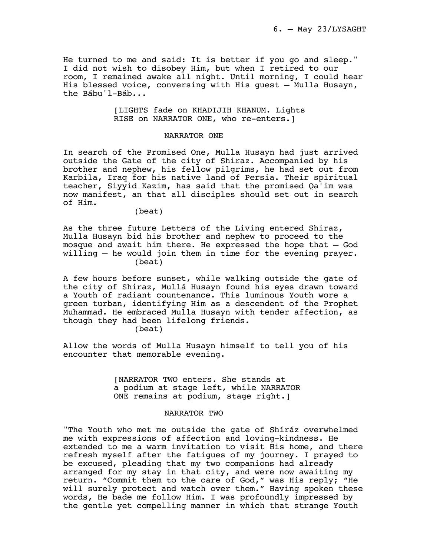He turned to me and said: It is better if you go and sleep." I did not wish to disobey Him, but when I retired to our room, I remained awake all night. Until morning, I could hear His blessed voice, conversing with His guest — Mulla Husayn, the Bábu'l-Báb...

> [LIGHTS fade on KHADIJIH KHANUM. Lights RISE on NARRATOR ONE, who re-enters.]

## NARRATOR ONE

In search of the Promised One, Mulla Husayn had just arrived outside the Gate of the city of Shiraz. Accompanied by his brother and nephew, his fellow pilgrims, he had set out from Karbila, Iraq for his native land of Persia. Their spiritual teacher, Siyyid Kazim, has said that the promised Qa'im was now manifest, an that all disciples should set out in search of Him.

(beat)

As the three future Letters of the Living entered Shiraz, Mulla Husayn bid his brother and nephew to proceed to the mosque and await him there. He expressed the hope that — God willing — he would join them in time for the evening prayer. (beat)

A few hours before sunset, while walking outside the gate of the city of Shiraz, Mullá Husayn found his eyes drawn toward a Youth of radiant countenance. This luminous Youth wore a green turban, identifying Him as a descendent of the Prophet Muhammad. He embraced Mulla Husayn with tender affection, as though they had been lifelong friends.

(beat)

Allow the words of Mulla Husayn himself to tell you of his encounter that memorable evening.

> [NARRATOR TWO enters. She stands at a podium at stage left, while NARRATOR ONE remains at podium, stage right.]

# NARRATOR TWO

"The Youth who met me outside the gate of Shíráz overwhelmed me with expressions of affection and loving-kindness. He extended to me a warm invitation to visit His home, and there refresh myself after the fatigues of my journey. I prayed to be excused, pleading that my two companions had already arranged for my stay in that city, and were now awaiting my return. "Commit them to the care of God," was His reply; "He will surely protect and watch over them." Having spoken these words, He bade me follow Him. I was profoundly impressed by the gentle yet compelling manner in which that strange Youth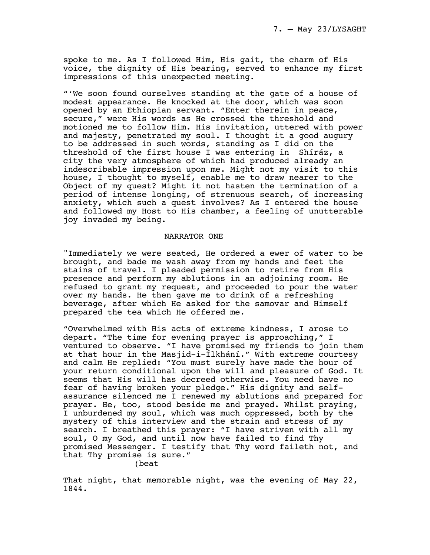spoke to me. As I followed Him, His gait, the charm of His voice, the dignity of His bearing, served to enhance my first impressions of this unexpected meeting.

"'We soon found ourselves standing at the gate of a house of modest appearance. He knocked at the door, which was soon opened by an Ethiopian servant. "Enter therein in peace, secure," were His words as He crossed the threshold and motioned me to follow Him. His invitation, uttered with power and majesty, penetrated my soul. I thought it a good augury to be addressed in such words, standing as I did on the threshold of the first house I was entering in Shíráz, a city the very atmosphere of which had produced already an indescribable impression upon me. Might not my visit to this house, I thought to myself, enable me to draw nearer to the Object of my quest? Might it not hasten the termination of a period of intense longing, of strenuous search, of increasing anxiety, which such a quest involves? As I entered the house and followed my Host to His chamber, a feeling of unutterable joy invaded my being.

## NARRATOR ONE

"Immediately we were seated, He ordered a ewer of water to be brought, and bade me wash away from my hands and feet the stains of travel. I pleaded permission to retire from His presence and perform my ablutions in an adjoining room. He refused to grant my request, and proceeded to pour the water over my hands. He then gave me to drink of a refreshing beverage, after which He asked for the samovar and Himself prepared the tea which He offered me.

"Overwhelmed with His acts of extreme kindness, I arose to depart. "The time for evening prayer is approaching," I ventured to observe. "I have promised my friends to join them at that hour in the Masjid-i-Ílkhání." With extreme courtesy and calm He replied: "You must surely have made the hour of your return conditional upon the will and pleasure of God. It seems that His will has decreed otherwise. You need have no fear of having broken your pledge." His dignity and selfassurance silenced me I renewed my ablutions and prepared for prayer. He, too, stood beside me and prayed. Whilst praying, I unburdened my soul, which was much oppressed, both by the mystery of this interview and the strain and stress of my search. I breathed this prayer: "I have striven with all my soul, O my God, and until now have failed to find Thy promised Messenger. I testify that Thy word faileth not, and that Thy promise is sure."

(beat

That night, that memorable night, was the evening of May 22, 1844.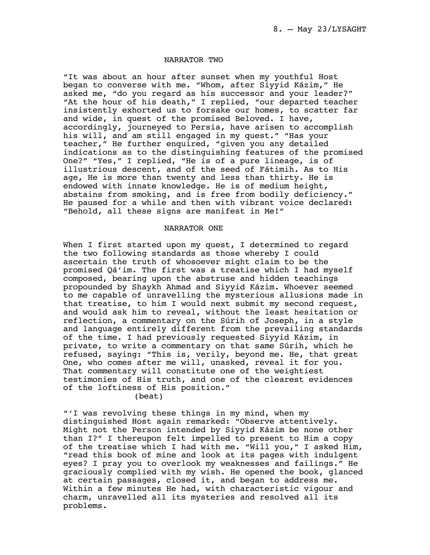## NARRATOR TWO

"It was about an hour after sunset when my youthful Host began to converse with me. "Whom, after Siyyid Kázim," He asked me, "do you regard as his successor and your leader?" "At the hour of his death," I replied, "our departed teacher insistently exhorted us to forsake our homes, to scatter far and wide, in quest of the promised Beloved. I have, accordingly, journeyed to Persia, have arisen to accomplish his will, and am still engaged in my quest." "Has your teacher," He further enquired, "given you any detailed indications as to the distinguishing features of the promised One?" "Yes," I replied, "He is of a pure lineage, is of illustrious descent, and of the seed of Fátimih. As to His age, He is more than twenty and less than thirty. He is endowed with innate knowledge. He is of medium height, abstains from smoking, and is free from bodily deficiency." He paused for a while and then with vibrant voice declared: "Behold, all these signs are manifest in Me!"

# NARRATOR ONE

When I first started upon my quest, I determined to regard the two following standards as those whereby I could ascertain the truth of whosoever might claim to be the promised Qá'im. The first was a treatise which I had myself composed, bearing upon the abstruse and hidden teachings propounded by Shaykh Ahmad and Siyyid Kázim. Whoever seemed to me capable of unravelling the mysterious allusions made in that treatise, to him I would next submit my second request, and would ask him to reveal, without the least hesitation or reflection, a commentary on the Súrih of Joseph, in a style and language entirely different from the prevailing standards of the time. I had previously requested Siyyid Kázim, in private, to write a commentary on that same Súrih, which he refused, saying: "This is, verily, beyond me. He, that great One, who comes after me will, unasked, reveal it for you. That commentary will constitute one of the weightiest testimonies of His truth, and one of the clearest evidences of the loftiness of His position."

(beat)

"'I was revolving these things in my mind, when my distinguished Host again remarked: "Observe attentively. Might not the Person intended by Siyyid Kázim be none other than I?" I thereupon felt impelled to present to Him a copy of the treatise which I had with me. "Will you," I asked Him, "read this book of mine and look at its pages with indulgent eyes? I pray you to overlook my weaknesses and failings." He graciously complied with my wish. He opened the book, glanced at certain passages, closed it, and began to address me. Within a few minutes He had, with characteristic vigour and charm, unravelled all its mysteries and resolved all its problems.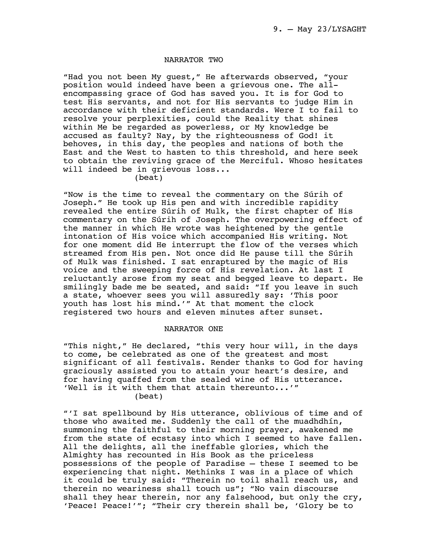## NARRATOR TWO

"Had you not been My guest," He afterwards observed, "your position would indeed have been a grievous one. The allencompassing grace of God has saved you. It is for God to test His servants, and not for His servants to judge Him in accordance with their deficient standards. Were I to fail to resolve your perplexities, could the Reality that shines within Me be regarded as powerless, or My knowledge be accused as faulty? Nay, by the righteousness of God! it behoves, in this day, the peoples and nations of both the East and the West to hasten to this threshold, and here seek to obtain the reviving grace of the Merciful. Whoso hesitates will indeed be in grievous loss...

# (beat)

"Now is the time to reveal the commentary on the Súrih of Joseph." He took up His pen and with incredible rapidity revealed the entire Súrih of Mulk, the first chapter of His commentary on the Súrih of Joseph. The overpowering effect of the manner in which He wrote was heightened by the gentle intonation of His voice which accompanied His writing. Not for one moment did He interrupt the flow of the verses which streamed from His pen. Not once did He pause till the Súrih of Mulk was finished. I sat enraptured by the magic of His voice and the sweeping force of His revelation. At last I reluctantly arose from my seat and begged leave to depart. He smilingly bade me be seated, and said: "If you leave in such a state, whoever sees you will assuredly say: 'This poor youth has lost his mind.'" At that moment the clock registered two hours and eleven minutes after sunset.

# NARRATOR ONE

"This night," He declared, "this very hour will, in the days to come, be celebrated as one of the greatest and most significant of all festivals. Render thanks to God for having graciously assisted you to attain your heart's desire, and for having quaffed from the sealed wine of His utterance. 'Well is it with them that attain thereunto...'" (beat)

"'I sat spellbound by His utterance, oblivious of time and of those who awaited me. Suddenly the call of the muadhdhín, summoning the faithful to their morning prayer, awakened me from the state of ecstasy into which I seemed to have fallen. All the delights, all the ineffable glories, which the Almighty has recounted in His Book as the priceless possessions of the people of Paradise — these I seemed to be experiencing that night. Methinks I was in a place of which it could be truly said: "Therein no toil shall reach us, and therein no weariness shall touch us"; "No vain discourse shall they hear therein, nor any falsehood, but only the cry, 'Peace! Peace!'"; "Their cry therein shall be, 'Glory be to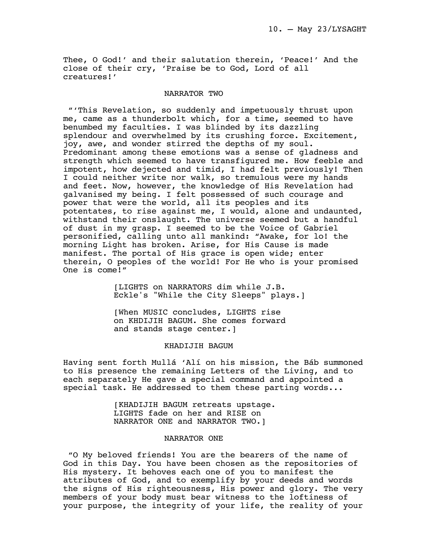Thee, O God!' and their salutation therein, 'Peace!' And the close of their cry, 'Praise be to God, Lord of all creatures!'

#### NARRATOR TWO

 "'This Revelation, so suddenly and impetuously thrust upon me, came as a thunderbolt which, for a time, seemed to have benumbed my faculties. I was blinded by its dazzling splendour and overwhelmed by its crushing force. Excitement, joy, awe, and wonder stirred the depths of my soul. Predominant among these emotions was a sense of gladness and strength which seemed to have transfigured me. How feeble and impotent, how dejected and timid, I had felt previously! Then I could neither write nor walk, so tremulous were my hands and feet. Now, however, the knowledge of His Revelation had galvanised my being. I felt possessed of such courage and power that were the world, all its peoples and its potentates, to rise against me, I would, alone and undaunted, withstand their onslaught. The universe seemed but a handful of dust in my grasp. I seemed to be the Voice of Gabriel personified, calling unto all mankind: "Awake, for lo! the morning Light has broken. Arise, for His Cause is made manifest. The portal of His grace is open wide; enter therein, O peoples of the world! For He who is your promised One is come!"

> [LIGHTS on NARRATORS dim while J.B. Eckle's "While the City Sleeps" plays.]

[When MUSIC concludes, LIGHTS rise on KHDIJIH BAGUM. She comes forward and stands stage center.]

#### KHADIJIH BAGUM

Having sent forth Mullá 'Alí on his mission, the Báb summoned to His presence the remaining Letters of the Living, and to each separately He gave a special command and appointed a special task. He addressed to them these parting words...

> [KHADIJIH BAGUM retreats upstage. LIGHTS fade on her and RISE on NARRATOR ONE and NARRATOR TWO.]

#### NARRATOR ONE

 "O My beloved friends! You are the bearers of the name of God in this Day. You have been chosen as the repositories of His mystery. It behoves each one of you to manifest the attributes of God, and to exemplify by your deeds and words the signs of His righteousness, His power and glory. The very members of your body must bear witness to the loftiness of your purpose, the integrity of your life, the reality of your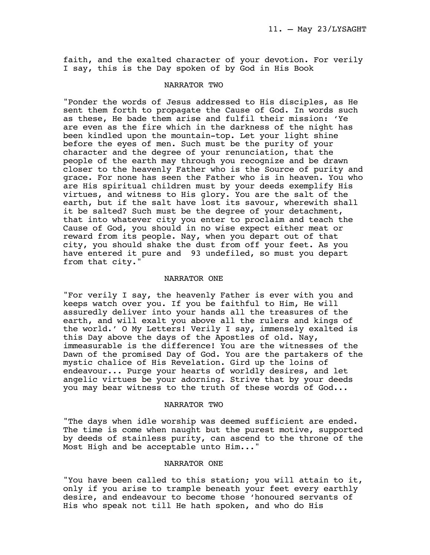faith, and the exalted character of your devotion. For verily I say, this is the Day spoken of by God in His Book

# NARRATOR TWO

"Ponder the words of Jesus addressed to His disciples, as He sent them forth to propagate the Cause of God. In words such as these, He bade them arise and fulfil their mission: 'Ye are even as the fire which in the darkness of the night has been kindled upon the mountain-top. Let your light shine before the eyes of men. Such must be the purity of your character and the degree of your renunciation, that the people of the earth may through you recognize and be drawn closer to the heavenly Father who is the Source of purity and grace. For none has seen the Father who is in heaven. You who are His spiritual children must by your deeds exemplify His virtues, and witness to His glory. You are the salt of the earth, but if the salt have lost its savour, wherewith shall it be salted? Such must be the degree of your detachment, that into whatever city you enter to proclaim and teach the Cause of God, you should in no wise expect either meat or reward from its people. Nay, when you depart out of that city, you should shake the dust from off your feet. As you have entered it pure and 93 undefiled, so must you depart from that city."

# NARRATOR ONE

"For verily I say, the heavenly Father is ever with you and keeps watch over you. If you be faithful to Him, He will assuredly deliver into your hands all the treasures of the earth, and will exalt you above all the rulers and kings of the world.' O My Letters! Verily I say, immensely exalted is this Day above the days of the Apostles of old. Nay, immeasurable is the difference! You are the witnesses of the Dawn of the promised Day of God. You are the partakers of the mystic chalice of His Revelation. Gird up the loins of endeavour... Purge your hearts of worldly desires, and let angelic virtues be your adorning. Strive that by your deeds you may bear witness to the truth of these words of God...

#### NARRATOR TWO

"The days when idle worship was deemed sufficient are ended. The time is come when naught but the purest motive, supported by deeds of stainless purity, can ascend to the throne of the Most High and be acceptable unto Him..."

# NARRATOR ONE

"You have been called to this station; you will attain to it, only if you arise to trample beneath your feet every earthly desire, and endeavour to become those 'honoured servants of His who speak not till He hath spoken, and who do His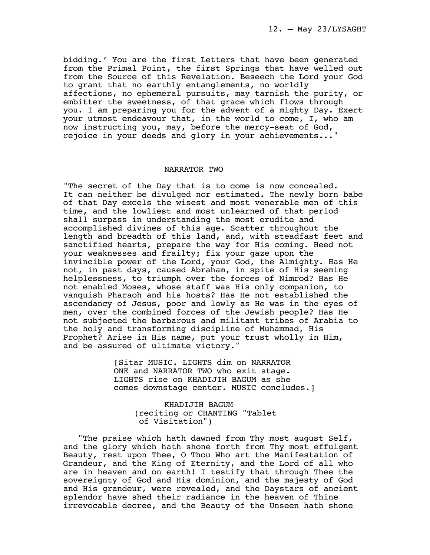bidding.' You are the first Letters that have been generated from the Primal Point, the first Springs that have welled out from the Source of this Revelation. Beseech the Lord your God to grant that no earthly entanglements, no worldly affections, no ephemeral pursuits, may tarnish the purity, or embitter the sweetness, of that grace which flows through you. I am preparing you for the advent of a mighty Day. Exert your utmost endeavour that, in the world to come, I, who am now instructing you, may, before the mercy-seat of God, rejoice in your deeds and glory in your achievements..."

## NARRATOR TWO

"The secret of the Day that is to come is now concealed. It can neither be divulged nor estimated. The newly born babe of that Day excels the wisest and most venerable men of this time, and the lowliest and most unlearned of that period shall surpass in understanding the most erudite and accomplished divines of this age. Scatter throughout the length and breadth of this land, and, with steadfast feet and sanctified hearts, prepare the way for His coming. Heed not your weaknesses and frailty; fix your gaze upon the invincible power of the Lord, your God, the Almighty. Has He not, in past days, caused Abraham, in spite of His seeming helplessness, to triumph over the forces of Nimrod? Has He not enabled Moses, whose staff was His only companion, to vanquish Pharaoh and his hosts? Has He not established the ascendancy of Jesus, poor and lowly as He was in the eyes of men, over the combined forces of the Jewish people? Has He not subjected the barbarous and militant tribes of Arabia to the holy and transforming discipline of Muhammad, His Prophet? Arise in His name, put your trust wholly in Him, and be assured of ultimate victory."

> [Sitar MUSIC. LIGHTS dim on NARRATOR ONE and NARRATOR TWO who exit stage. LIGHTS rise on KHADIJIH BAGUM as she comes downstage center. MUSIC concludes.]

> > KHADIJIH BAGUM (reciting or CHANTING "Tablet of Visitation")

 "The praise which hath dawned from Thy most august Self, and the glory which hath shone forth from Thy most effulgent Beauty, rest upon Thee, O Thou Who art the Manifestation of Grandeur, and the King of Eternity, and the Lord of all who are in heaven and on earth! I testify that through Thee the sovereignty of God and His dominion, and the majesty of God and His grandeur, were revealed, and the Daystars of ancient splendor have shed their radiance in the heaven of Thine irrevocable decree, and the Beauty of the Unseen hath shone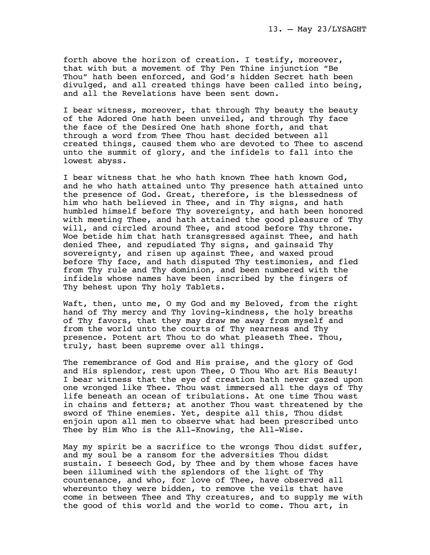forth above the horizon of creation. I testify, moreover, that with but a movement of Thy Pen Thine injunction "Be Thou" hath been enforced, and God's hidden Secret hath been divulged, and all created things have been called into being, and all the Revelations have been sent down.

I bear witness, moreover, that through Thy beauty the beauty of the Adored One hath been unveiled, and through Thy face the face of the Desired One hath shone forth, and that through a word from Thee Thou hast decided between all created things, caused them who are devoted to Thee to ascend unto the summit of glory, and the infidels to fall into the lowest abyss.

I bear witness that he who hath known Thee hath known God, and he who hath attained unto Thy presence hath attained unto the presence of God. Great, therefore, is the blessedness of him who hath believed in Thee, and in Thy signs, and hath humbled himself before Thy sovereignty, and hath been honored with meeting Thee, and hath attained the good pleasure of Thy will, and circled around Thee, and stood before Thy throne. Woe betide him that hath transgressed against Thee, and hath denied Thee, and repudiated Thy signs, and gainsaid Thy sovereignty, and risen up against Thee, and waxed proud before Thy face, and hath disputed Thy testimonies, and fled from Thy rule and Thy dominion, and been numbered with the infidels whose names have been inscribed by the fingers of Thy behest upon Thy holy Tablets.

Waft, then, unto me, O my God and my Beloved, from the right hand of Thy mercy and Thy loving-kindness, the holy breaths of Thy favors, that they may draw me away from myself and from the world unto the courts of Thy nearness and Thy presence. Potent art Thou to do what pleaseth Thee. Thou, truly, hast been supreme over all things.

The remembrance of God and His praise, and the glory of God and His splendor, rest upon Thee, O Thou Who art His Beauty! I bear witness that the eye of creation hath never gazed upon one wronged like Thee. Thou wast immersed all the days of Thy life beneath an ocean of tribulations. At one time Thou wast in chains and fetters; at another Thou wast threatened by the sword of Thine enemies. Yet, despite all this, Thou didst enjoin upon all men to observe what had been prescribed unto Thee by Him Who is the All-Knowing, the All-Wise.

May my spirit be a sacrifice to the wrongs Thou didst suffer, and my soul be a ransom for the adversities Thou didst sustain. I beseech God, by Thee and by them whose faces have been illumined with the splendors of the light of Thy countenance, and who, for love of Thee, have observed all whereunto they were bidden, to remove the veils that have come in between Thee and Thy creatures, and to supply me with the good of this world and the world to come. Thou art, in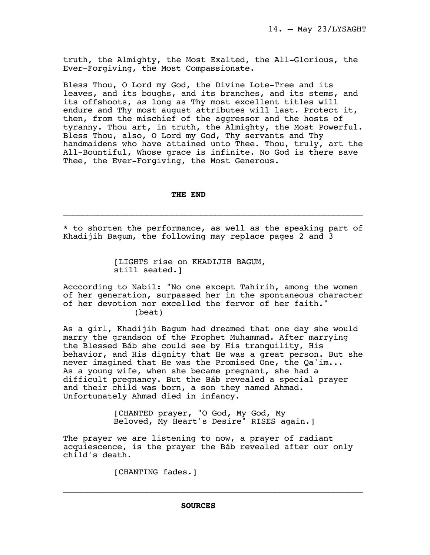truth, the Almighty, the Most Exalted, the All-Glorious, the Ever-Forgiving, the Most Compassionate.

Bless Thou, O Lord my God, the Divine Lote-Tree and its leaves, and its boughs, and its branches, and its stems, and its offshoots, as long as Thy most excellent titles will endure and Thy most august attributes will last. Protect it, then, from the mischief of the aggressor and the hosts of tyranny. Thou art, in truth, the Almighty, the Most Powerful. Bless Thou, also, O Lord my God, Thy servants and Thy handmaidens who have attained unto Thee. Thou, truly, art the All-Bountiful, Whose grace is infinite. No God is there save Thee, the Ever-Forgiving, the Most Generous.

# **THE END**

\* to shorten the performance, as well as the speaking part of Khadijih Bagum, the following may replace pages 2 and 3

\_\_\_\_\_\_\_\_\_\_\_\_\_\_\_\_\_\_\_\_\_\_\_\_\_\_\_\_\_\_\_\_\_\_\_\_\_\_\_\_\_\_\_\_\_\_\_\_\_\_\_\_\_\_\_\_\_\_\_\_\_

[LIGHTS rise on KHADIJIH BAGUM, still seated.]

Acccording to Nabil: "No one except Tahirih, among the women of her generation, surpassed her in the spontaneous character of her devotion nor excelled the fervor of her faith." (beat)

As a girl, Khadijih Bagum had dreamed that one day she would marry the grandson of the Prophet Muhammad. After marrying the Blessed Báb she could see by His tranquility, His behavior, and His dignity that He was a great person. But she never imagined that He was the Promised One, the Qa'im... As a young wife, when she became pregnant, she had a difficult pregnancy. But the Báb revealed a special prayer and their child was born, a son they named Ahmad. Unfortunately Ahmad died in infancy.

> [CHANTED prayer, "O God, My God, My Beloved, My Heart's Desire" RISES again.]

The prayer we are listening to now, a prayer of radiant acquiescence, is the prayer the Báb revealed after our only child's death.

\_\_\_\_\_\_\_\_\_\_\_\_\_\_\_\_\_\_\_\_\_\_\_\_\_\_\_\_\_\_\_\_\_\_\_\_\_\_\_\_\_\_\_\_\_\_\_\_\_\_\_\_\_\_\_\_\_\_\_\_\_

[CHANTING fades.]